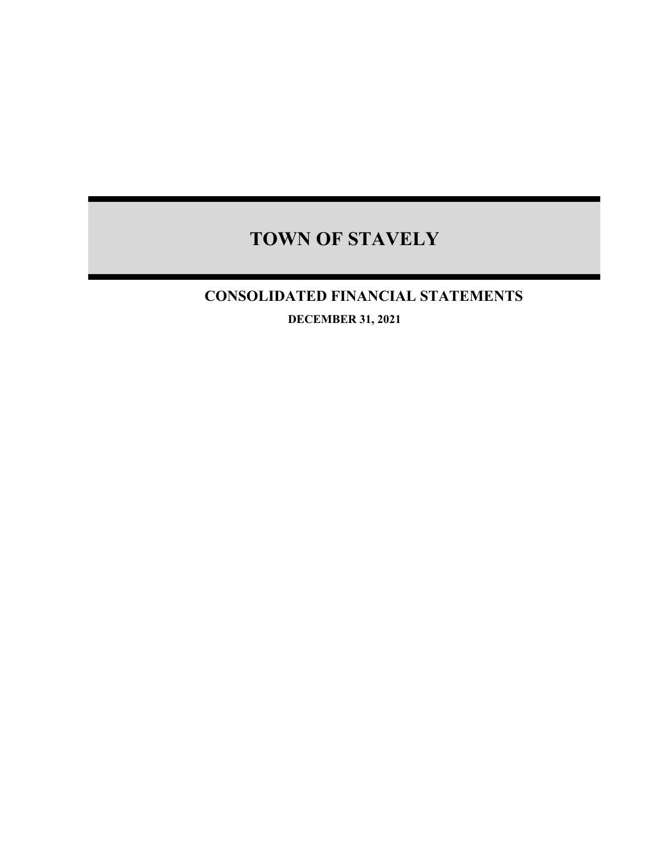## **CONSOLIDATED FINANCIAL STATEMENTS**

**DECEMBER 31, 2021**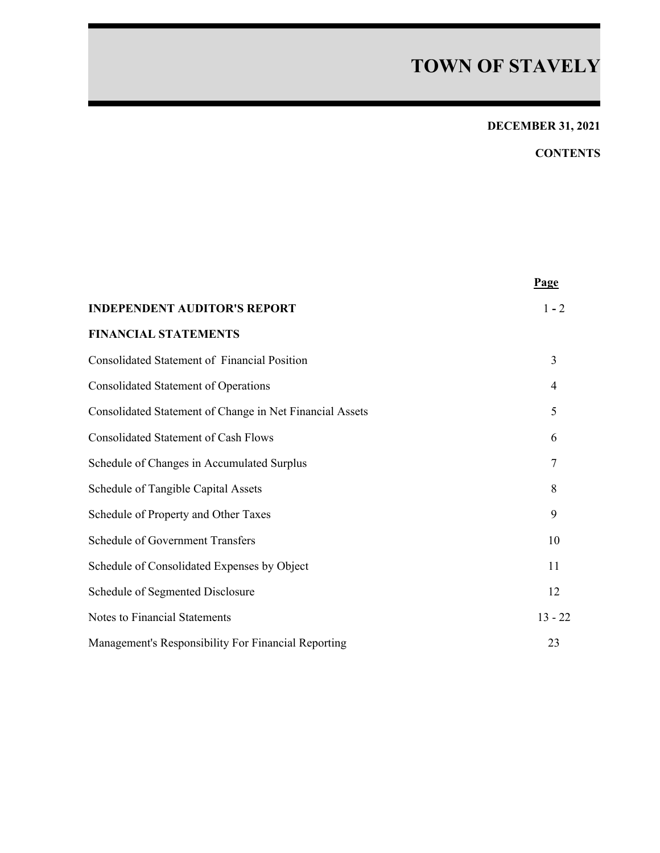## **DECEMBER 31, 2021**

## **CONTENTS**

|                                                          | Page      |
|----------------------------------------------------------|-----------|
| <b>INDEPENDENT AUDITOR'S REPORT</b>                      | $1 - 2$   |
| <b>FINANCIAL STATEMENTS</b>                              |           |
| <b>Consolidated Statement of Financial Position</b>      | 3         |
| <b>Consolidated Statement of Operations</b>              | 4         |
| Consolidated Statement of Change in Net Financial Assets | 5         |
| <b>Consolidated Statement of Cash Flows</b>              | 6         |
| Schedule of Changes in Accumulated Surplus               | 7         |
| Schedule of Tangible Capital Assets                      | 8         |
| Schedule of Property and Other Taxes                     | 9         |
| <b>Schedule of Government Transfers</b>                  | 10        |
| Schedule of Consolidated Expenses by Object              | 11        |
| Schedule of Segmented Disclosure                         | 12        |
| Notes to Financial Statements                            | $13 - 22$ |
| Management's Responsibility For Financial Reporting      | 23        |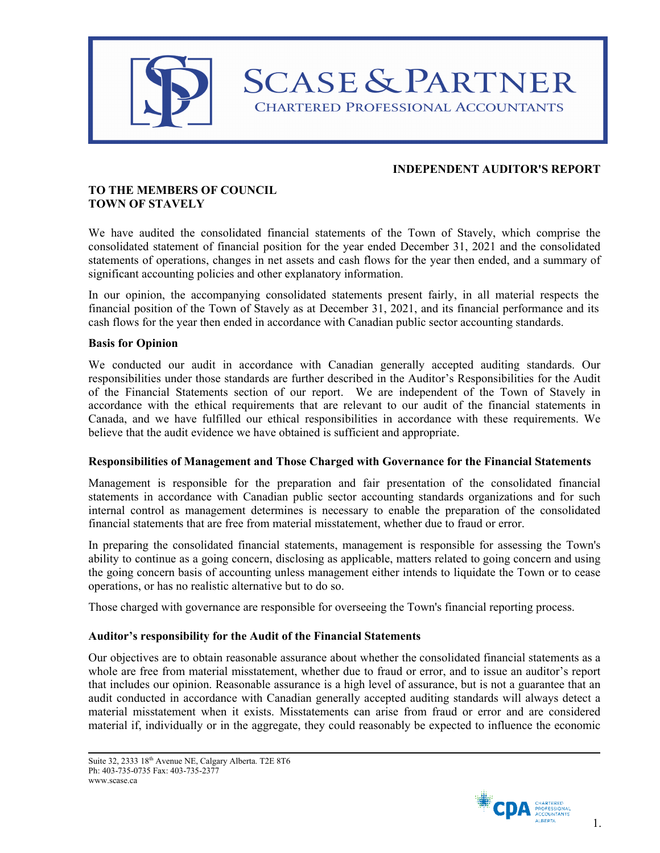

## **INDEPENDENT AUDITOR'S REPORT**

## **TO THE MEMBERS OF COUNCIL TOWN OF STAVELY**

We have audited the consolidated financial statements of the Town of Stavely, which comprise the consolidated statement of financial position for the year ended December 31, 2021 and the consolidated statements of operations, changes in net assets and cash flows for the year then ended, and a summary of significant accounting policies and other explanatory information.

In our opinion, the accompanying consolidated statements present fairly, in all material respects the financial position of the Town of Stavely as at December 31, 2021, and its financial performance and its cash flows for the year then ended in accordance with Canadian public sector accounting standards.

### **Basis for Opinion**

We conducted our audit in accordance with Canadian generally accepted auditing standards. Our responsibilities under those standards are further described in the Auditor's Responsibilities for the Audit of the Financial Statements section of our report. We are independent of the Town of Stavely in accordance with the ethical requirements that are relevant to our audit of the financial statements in Canada, and we have fulfilled our ethical responsibilities in accordance with these requirements. We believe that the audit evidence we have obtained is sufficient and appropriate.

#### **Responsibilities of Management and Those Charged with Governance for the Financial Statements**

Management is responsible for the preparation and fair presentation of the consolidated financial statements in accordance with Canadian public sector accounting standards organizations and for such internal control as management determines is necessary to enable the preparation of the consolidated financial statements that are free from material misstatement, whether due to fraud or error.

In preparing the consolidated financial statements, management is responsible for assessing the Town's ability to continue as a going concern, disclosing as applicable, matters related to going concern and using the going concern basis of accounting unless management either intends to liquidate the Town or to cease operations, or has no realistic alternative but to do so.

Those charged with governance are responsible for overseeing the Town's financial reporting process.

### **Auditor's responsibility for the Audit of the Financial Statements**

Our objectives are to obtain reasonable assurance about whether the consolidated financial statements as a whole are free from material misstatement, whether due to fraud or error, and to issue an auditor's report that includes our opinion. Reasonable assurance is a high level of assurance, but is not a guarantee that an audit conducted in accordance with Canadian generally accepted auditing standards will always detect a material misstatement when it exists. Misstatements can arise from fraud or error and are considered material if, individually or in the aggregate, they could reasonably be expected to influence the economic

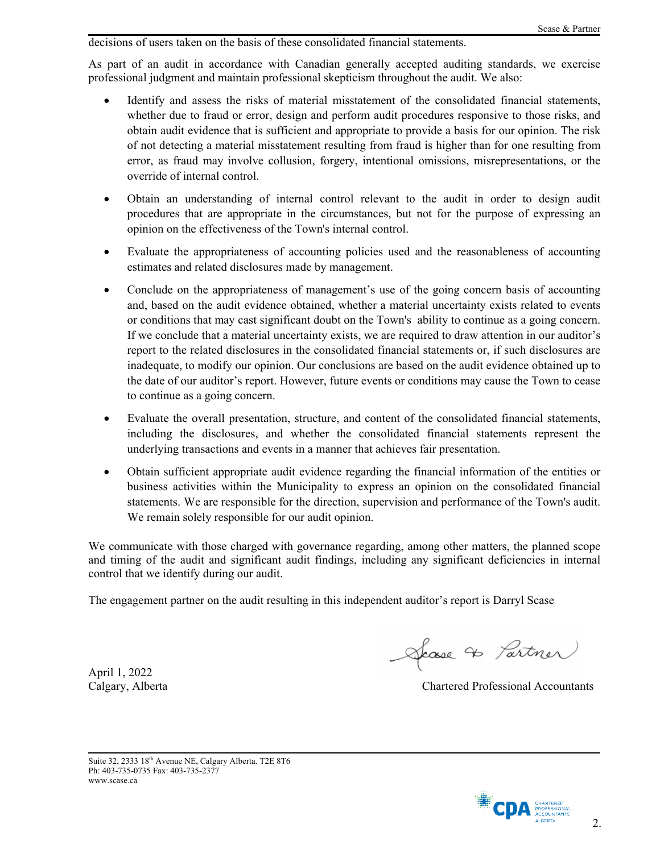decisions of users taken on the basis of these consolidated financial statements.

As part of an audit in accordance with Canadian generally accepted auditing standards, we exercise professional judgment and maintain professional skepticism throughout the audit. We also:

- Identify and assess the risks of material misstatement of the consolidated financial statements, whether due to fraud or error, design and perform audit procedures responsive to those risks, and obtain audit evidence that is sufficient and appropriate to provide a basis for our opinion. The risk of not detecting a material misstatement resulting from fraud is higher than for one resulting from error, as fraud may involve collusion, forgery, intentional omissions, misrepresentations, or the override of internal control.
- Obtain an understanding of internal control relevant to the audit in order to design audit procedures that are appropriate in the circumstances, but not for the purpose of expressing an opinion on the effectiveness of the Town's internal control.
- Evaluate the appropriateness of accounting policies used and the reasonableness of accounting estimates and related disclosures made by management.
- Conclude on the appropriateness of management's use of the going concern basis of accounting and, based on the audit evidence obtained, whether a material uncertainty exists related to events or conditions that may cast significant doubt on the Town's ability to continue as a going concern. If we conclude that a material uncertainty exists, we are required to draw attention in our auditor's report to the related disclosures in the consolidated financial statements or, if such disclosures are inadequate, to modify our opinion. Our conclusions are based on the audit evidence obtained up to the date of our auditor's report. However, future events or conditions may cause the Town to cease to continue as a going concern.
- Evaluate the overall presentation, structure, and content of the consolidated financial statements, including the disclosures, and whether the consolidated financial statements represent the underlying transactions and events in a manner that achieves fair presentation.
- Obtain sufficient appropriate audit evidence regarding the financial information of the entities or business activities within the Municipality to express an opinion on the consolidated financial statements. We are responsible for the direction, supervision and performance of the Town's audit. We remain solely responsible for our audit opinion.

We communicate with those charged with governance regarding, among other matters, the planned scope and timing of the audit and significant audit findings, including any significant deficiencies in internal control that we identify during our audit.

The engagement partner on the audit resulting in this independent auditor's report is Darryl Scase

April 1, 2022

Showse to Partner

Calgary, Alberta Chartered Professional Accountants

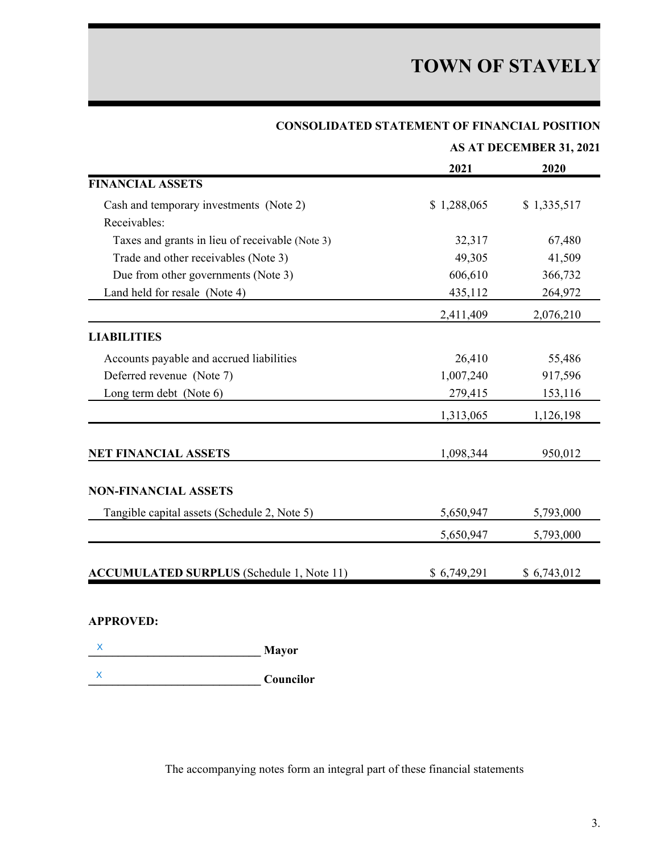|                                                  | AS AT DECEMBER 31, 2021 |             |  |  |  |
|--------------------------------------------------|-------------------------|-------------|--|--|--|
|                                                  | 2021                    | 2020        |  |  |  |
| <b>FINANCIAL ASSETS</b>                          |                         |             |  |  |  |
| Cash and temporary investments (Note 2)          | \$1,288,065             | \$1,335,517 |  |  |  |
| Receivables:                                     |                         |             |  |  |  |
| Taxes and grants in lieu of receivable (Note 3)  | 32,317                  | 67,480      |  |  |  |
| Trade and other receivables (Note 3)             | 49,305                  | 41,509      |  |  |  |
| Due from other governments (Note 3)              | 606,610                 | 366,732     |  |  |  |
| Land held for resale (Note 4)                    | 435,112                 | 264,972     |  |  |  |
|                                                  | 2,411,409               | 2,076,210   |  |  |  |
| <b>LIABILITIES</b>                               |                         |             |  |  |  |
| Accounts payable and accrued liabilities         | 26,410                  | 55,486      |  |  |  |
| Deferred revenue (Note 7)                        | 1,007,240               | 917,596     |  |  |  |
| Long term debt (Note 6)                          | 279,415                 | 153,116     |  |  |  |
|                                                  | 1,313,065               | 1,126,198   |  |  |  |
| <b>NET FINANCIAL ASSETS</b>                      | 1,098,344               | 950,012     |  |  |  |
|                                                  |                         |             |  |  |  |
| <b>NON-FINANCIAL ASSETS</b>                      |                         |             |  |  |  |
| Tangible capital assets (Schedule 2, Note 5)     | 5,650,947               | 5,793,000   |  |  |  |
|                                                  | 5,650,947               | 5,793,000   |  |  |  |
|                                                  |                         |             |  |  |  |
| <b>ACCUMULATED SURPLUS</b> (Schedule 1, Note 11) | \$6,749,291             | \$6,743,012 |  |  |  |

## **CONSOLIDATED STATEMENT OF FINANCIAL POSITION**

## **APPROVED:**

- **\_\_\_\_\_\_\_\_\_\_\_\_\_\_\_\_\_\_\_\_\_\_\_\_\_\_\_\_\_ Mayor** X
- **\_\_\_\_\_\_\_\_\_\_\_\_\_\_\_\_\_\_\_\_\_\_\_\_\_\_\_\_\_ Councilor** X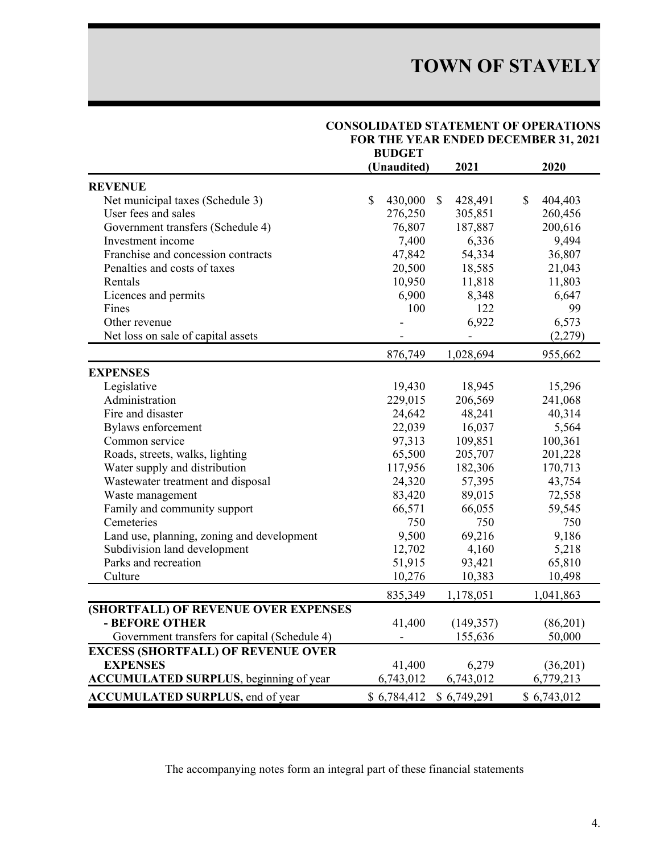|                                                |              | <b>DUDALI</b> |              |                |              |             |  |  |
|------------------------------------------------|--------------|---------------|--------------|----------------|--------------|-------------|--|--|
|                                                |              | (Unaudited)   |              | 2021           |              | 2020        |  |  |
| <b>REVENUE</b>                                 |              |               |              |                |              |             |  |  |
| Net municipal taxes (Schedule 3)               | $\mathbb{S}$ | 430,000       | $\mathbb{S}$ | 428,491        | $\mathbb{S}$ | 404,403     |  |  |
| User fees and sales                            |              | 276,250       |              | 305,851        |              | 260,456     |  |  |
| Government transfers (Schedule 4)              |              | 76,807        |              | 187,887        |              | 200,616     |  |  |
| Investment income                              |              | 7,400         |              | 6,336          |              | 9,494       |  |  |
| Franchise and concession contracts             |              | 47,842        |              | 54,334         |              | 36,807      |  |  |
| Penalties and costs of taxes                   |              | 20,500        |              | 18,585         |              | 21,043      |  |  |
| Rentals                                        |              | 10,950        |              | 11,818         |              | 11,803      |  |  |
| Licences and permits                           |              | 6,900         |              | 8,348          |              | 6,647       |  |  |
| Fines                                          |              | 100           |              | 122            |              | 99          |  |  |
| Other revenue                                  |              |               |              | 6,922          |              | 6,573       |  |  |
| Net loss on sale of capital assets             |              |               |              | $\blacksquare$ |              | (2,279)     |  |  |
|                                                |              | 876,749       |              | 1,028,694      |              | 955,662     |  |  |
| <b>EXPENSES</b>                                |              |               |              |                |              |             |  |  |
| Legislative                                    |              | 19,430        |              | 18,945         |              | 15,296      |  |  |
| Administration                                 |              | 229,015       |              | 206,569        |              | 241,068     |  |  |
| Fire and disaster                              |              | 24,642        |              | 48,241         |              | 40,314      |  |  |
| <b>Bylaws</b> enforcement                      |              | 22,039        |              | 16,037         |              | 5,564       |  |  |
| Common service                                 |              | 97,313        |              | 109,851        |              | 100,361     |  |  |
| Roads, streets, walks, lighting                |              | 65,500        |              | 205,707        |              | 201,228     |  |  |
| Water supply and distribution                  |              | 117,956       |              | 182,306        |              | 170,713     |  |  |
| Wastewater treatment and disposal              |              | 24,320        |              | 57,395         |              | 43,754      |  |  |
| Waste management                               |              | 83,420        |              | 89,015         |              | 72,558      |  |  |
| Family and community support                   |              | 66,571        |              | 66,055         |              | 59,545      |  |  |
| Cemeteries                                     |              | 750           |              | 750            |              | 750         |  |  |
| Land use, planning, zoning and development     |              | 9,500         |              | 69,216         |              | 9,186       |  |  |
| Subdivision land development                   |              | 12,702        |              | 4,160          |              | 5,218       |  |  |
| Parks and recreation                           |              | 51,915        |              | 93,421         |              | 65,810      |  |  |
| Culture                                        |              | 10,276        |              | 10,383         |              | 10,498      |  |  |
|                                                |              | 835,349       |              | 1,178,051      |              | 1,041,863   |  |  |
| (SHORTFALL) OF REVENUE OVER EXPENSES           |              |               |              |                |              |             |  |  |
| - BEFORE OTHER                                 |              | 41,400        |              | (149, 357)     |              | (86,201)    |  |  |
| Government transfers for capital (Schedule 4)  |              |               |              | 155,636        |              | 50,000      |  |  |
| <b>EXCESS (SHORTFALL) OF REVENUE OVER</b>      |              |               |              |                |              |             |  |  |
| <b>EXPENSES</b>                                |              | 41,400        |              | 6,279          |              | (36,201)    |  |  |
| <b>ACCUMULATED SURPLUS</b> , beginning of year |              | 6,743,012     |              | 6,743,012      |              | 6,779,213   |  |  |
| <b>ACCUMULATED SURPLUS, end of year</b>        |              | \$6,784,412   |              | \$6,749,291    |              | \$6,743,012 |  |  |

#### **CONSOLIDATED STATEMENT OF OPERATIONS FOR THE YEAR ENDED DECEMBER 31, 2021 BUDGET**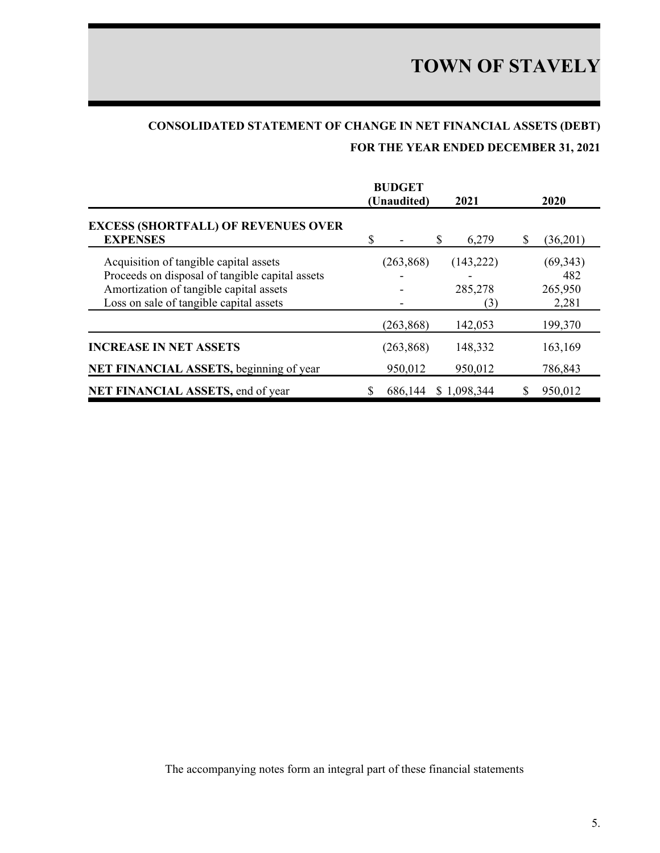## **CONSOLIDATED STATEMENT OF CHANGE IN NET FINANCIAL ASSETS (DEBT) FOR THE YEAR ENDED DECEMBER 31, 2021**

|                                                                                                                                                                                 |   | <b>BUDGET</b><br>(Unaudited) | 2021                         |   | <b>2020</b>                          |
|---------------------------------------------------------------------------------------------------------------------------------------------------------------------------------|---|------------------------------|------------------------------|---|--------------------------------------|
| <b>EXCESS (SHORTFALL) OF REVENUES OVER</b><br><b>EXPENSES</b>                                                                                                                   | S |                              | S<br>6,279                   | S | (36,201)                             |
| Acquisition of tangible capital assets<br>Proceeds on disposal of tangible capital assets<br>Amortization of tangible capital assets<br>Loss on sale of tangible capital assets |   | (263, 868)                   | (143, 222)<br>285,278<br>(3) |   | (69, 343)<br>482<br>265,950<br>2,281 |
|                                                                                                                                                                                 |   | (263, 868)                   | 142,053                      |   | 199,370                              |
| <b>INCREASE IN NET ASSETS</b>                                                                                                                                                   |   | (263, 868)                   | 148,332                      |   | 163,169                              |
| NET FINANCIAL ASSETS, beginning of year                                                                                                                                         |   | 950,012                      | 950,012                      |   | 786,843                              |
| NET FINANCIAL ASSETS, end of year                                                                                                                                               |   | 686,144                      | \$1,098,344                  |   | 950,012                              |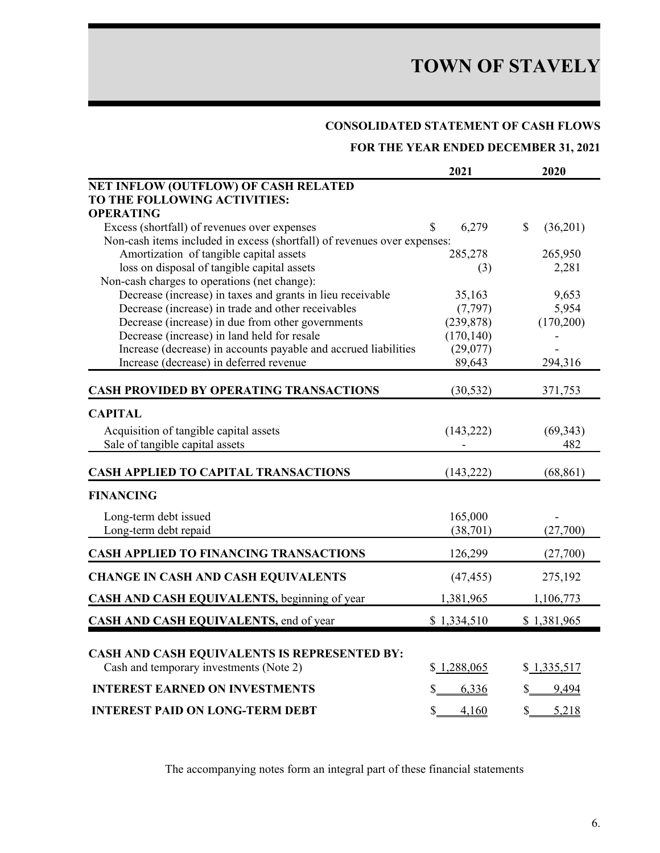## **CONSOLIDATED STATEMENT OF CASH FLOWS**

**FOR THE YEAR ENDED DECEMBER 31, 2021**

|                                                                          | 2021        | 2020                     |
|--------------------------------------------------------------------------|-------------|--------------------------|
| NET INFLOW (OUTFLOW) OF CASH RELATED                                     |             |                          |
| TO THE FOLLOWING ACTIVITIES:                                             |             |                          |
| <b>OPERATING</b>                                                         |             |                          |
| Excess (shortfall) of revenues over expenses                             | 6,279<br>\$ | $\mathbb{S}$<br>(36,201) |
| Non-cash items included in excess (shortfall) of revenues over expenses: |             |                          |
| Amortization of tangible capital assets                                  | 285,278     | 265,950                  |
| loss on disposal of tangible capital assets                              | (3)         | 2,281                    |
| Non-cash charges to operations (net change):                             |             |                          |
| Decrease (increase) in taxes and grants in lieu receivable               | 35,163      | 9,653                    |
| Decrease (increase) in trade and other receivables                       | (7, 797)    | 5,954                    |
| Decrease (increase) in due from other governments                        | (239, 878)  | (170,200)                |
| Decrease (increase) in land held for resale                              | (170, 140)  |                          |
| Increase (decrease) in accounts payable and accrued liabilities          | (29,077)    |                          |
| Increase (decrease) in deferred revenue                                  | 89,643      | 294,316                  |
| <b>CASH PROVIDED BY OPERATING TRANSACTIONS</b>                           | (30, 532)   | 371,753                  |
| <b>CAPITAL</b>                                                           |             |                          |
| Acquisition of tangible capital assets                                   | (143, 222)  | (69, 343)                |
| Sale of tangible capital assets                                          |             | 482                      |
|                                                                          |             |                          |
| <b>CASH APPLIED TO CAPITAL TRANSACTIONS</b>                              | (143, 222)  | (68, 861)                |
| <b>FINANCING</b>                                                         |             |                          |
| Long-term debt issued                                                    | 165,000     |                          |
| Long-term debt repaid                                                    | (38,701)    | (27,700)                 |
| <b>CASH APPLIED TO FINANCING TRANSACTIONS</b>                            |             |                          |
|                                                                          | 126,299     | (27,700)                 |
| <b>CHANGE IN CASH AND CASH EQUIVALENTS</b>                               | (47, 455)   | 275,192                  |
| CASH AND CASH EQUIVALENTS, beginning of year                             | 1,381,965   | 1,106,773                |
| CASH AND CASH EQUIVALENTS, end of year                                   | \$1,334,510 | \$1,381,965              |
|                                                                          |             |                          |
| <b>CASH AND CASH EQUIVALENTS IS REPRESENTED BY:</b>                      |             |                          |
| Cash and temporary investments (Note 2)                                  | \$1,288,065 | \$1,335,517              |
| <b>INTEREST EARNED ON INVESTMENTS</b>                                    | 6,336       | 9,494                    |
| <b>INTEREST PAID ON LONG-TERM DEBT</b>                                   | \$ 4,160    | \$ 5,218                 |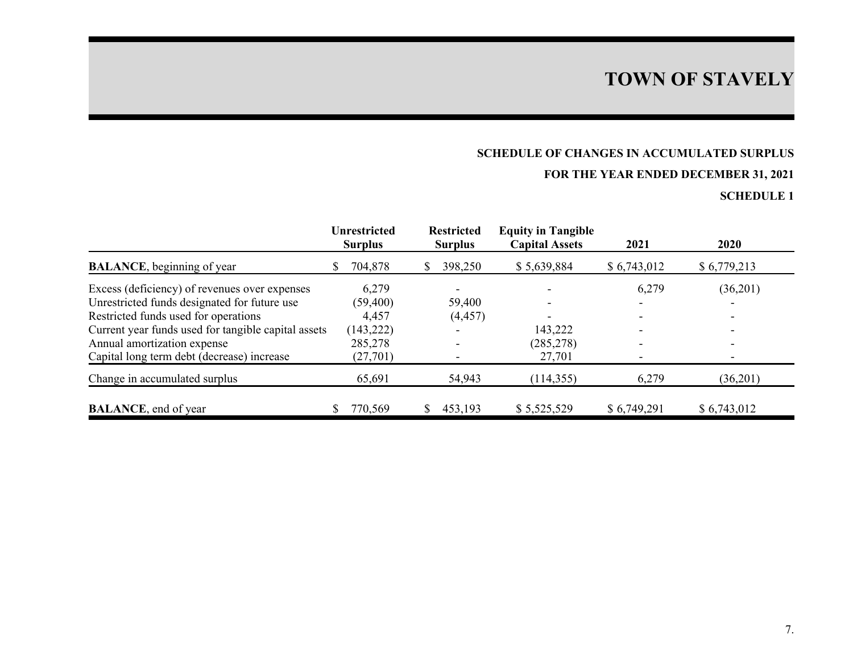## **SCHEDULE OF CHANGES IN ACCUMULATED SURPLUS**

## **FOR THE YEAR ENDED DECEMBER 31, 2021**

|                                                     |   | <b>Unrestricted</b><br><b>Surplus</b> | <b>Restricted</b><br><b>Surplus</b> | <b>Equity in Tangible</b><br><b>Capital Assets</b> | 2021                     | 2020                     |
|-----------------------------------------------------|---|---------------------------------------|-------------------------------------|----------------------------------------------------|--------------------------|--------------------------|
| <b>BALANCE</b> , beginning of year                  | S | 704,878                               | 398,250                             | \$5,639,884                                        | \$6,743,012              | \$6,779,213              |
| Excess (deficiency) of revenues over expenses       |   | 6,279                                 | $\overline{\phantom{0}}$            |                                                    | 6,279                    | (36,201)                 |
| Unrestricted funds designated for future use        |   | (59, 400)                             | 59,400                              |                                                    |                          | -                        |
| Restricted funds used for operations                |   | 4,457                                 | (4, 457)                            |                                                    |                          | $\overline{\phantom{0}}$ |
| Current year funds used for tangible capital assets |   | (143, 222)                            |                                     | 143,222                                            |                          | $\overline{\phantom{0}}$ |
| Annual amortization expense                         |   | 285,278                               | $\overline{\phantom{0}}$            | (285, 278)                                         | $\overline{\phantom{0}}$ | -                        |
| Capital long term debt (decrease) increase          |   | (27, 701)                             |                                     | 27,701                                             | $\overline{\phantom{0}}$ | $\overline{\phantom{0}}$ |
| Change in accumulated surplus                       |   | 65,691                                | 54,943                              | (114, 355)                                         | 6,279                    | (36,201)                 |
| <b>BALANCE</b> , end of year                        |   | 770,569                               | 453,193                             | \$5,525,529                                        | \$6,749,291              | \$6,743,012              |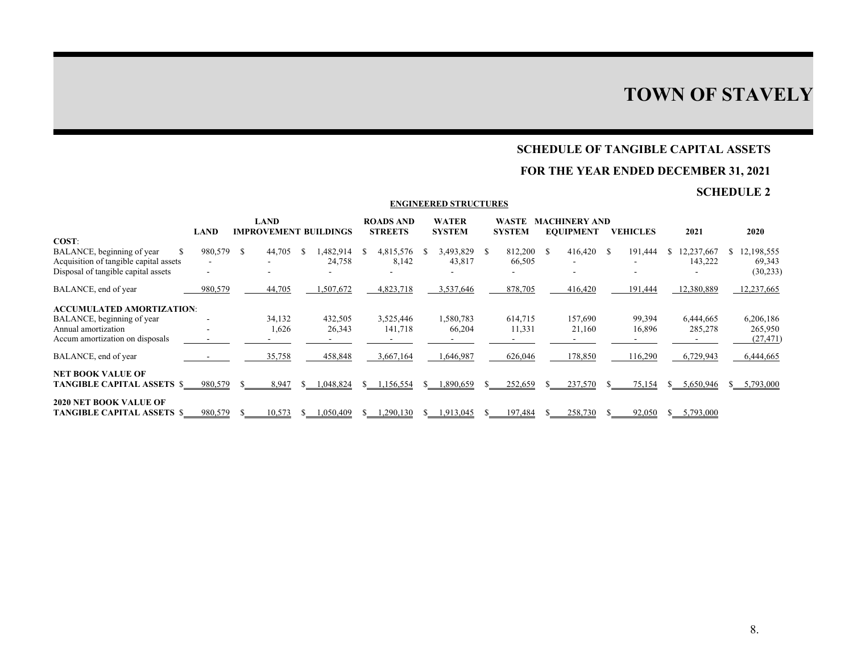## **SCHEDULE OF TANGIBLE CAPITAL ASSETS**

## **FOR THE YEAR ENDED DECEMBER 31, 2021**

## **SCHEDULE 2**

#### **ENGINEERED STRUCTURES**

|                                                                      | LAND    |    | <b>LAND</b><br>IMPROVEMENT BUILDINGS |                    | <b>ROADS AND</b><br><b>STREETS</b> |    | <b>WATER</b><br><b>SYSTEM</b> |    | <b>WASTE</b><br><b>SYSTEM</b> |     | <b>MACHINERY AND</b><br><b>EQUIPMENT</b> |    | <b>VEHICLES</b> |    | 2021                  |    | 2020                 |
|----------------------------------------------------------------------|---------|----|--------------------------------------|--------------------|------------------------------------|----|-------------------------------|----|-------------------------------|-----|------------------------------------------|----|-----------------|----|-----------------------|----|----------------------|
| COST:                                                                |         |    |                                      |                    |                                    |    |                               |    |                               |     |                                          |    |                 |    |                       |    |                      |
| BALANCE, beginning of year<br>Acquisition of tangible capital assets | 980,579 | -S | 44,705                               | .482,914<br>24,758 | 4,815,576<br>8,142                 | S  | 3,493,829<br>43,817           | -8 | 812,200<br>66,505             | - S | 416,420<br>٠                             | -S | 191,444         | S. | 12,237,667<br>143,222 | S. | 12,198,555<br>69,343 |
| Disposal of tangible capital assets                                  |         |    |                                      |                    |                                    |    |                               |    |                               |     |                                          |    |                 |    |                       |    | (30, 233)            |
| BALANCE, end of year                                                 | 980,579 |    | 44,705                               | 1,507,672          | 4,823,718                          |    | 3,537,646                     |    | 878,705                       |     | 416,420                                  |    | 191,444         |    | 12,380,889            |    | 12,237,665           |
| <b>ACCUMULATED AMORTIZATION:</b>                                     |         |    |                                      |                    |                                    |    |                               |    |                               |     |                                          |    |                 |    |                       |    |                      |
| BALANCE, beginning of year                                           |         |    | 34,132                               | 432,505            | 3,525,446                          |    | 1,580,783                     |    | 614,715                       |     | 157,690                                  |    | 99,394          |    | 6,444,665             |    | 6,206,186            |
| Annual amortization                                                  |         |    | 1,626                                | 26,343             | 141,718                            |    | 66,204                        |    | 11,331                        |     | 21,160                                   |    | 16,896          |    | 285,278               |    | 265,950              |
| Accum amortization on disposals                                      |         |    |                                      |                    |                                    |    |                               |    |                               |     |                                          |    |                 |    |                       |    | (27, 471)            |
| BALANCE, end of year                                                 |         |    | 35,758                               | 458,848            | 3,667,164                          |    | 1,646,987                     |    | 626,046                       |     | 178,850                                  |    | 116,290         |    | 6,729,943             |    | 6.444,665            |
| <b>NET BOOK VALUE OF</b><br>TANGIBLE CAPITAL ASSETS \$               | 980,579 |    | 8.947                                | 1.048.824          | 1.156.554                          | S. | 1.890.659                     |    | 252,659                       |     | 237,570                                  |    | 75.154          | S. | 5,650,946             |    | 5,793,000            |
| <b>2020 NET BOOK VALUE OF</b><br><b>TANGIBLE CAPITAL ASSETS \$</b>   | 980,579 |    | 10,573                               | 1,050,409          | ,290,130                           | S. | 1,913,045                     |    | 197,484                       |     | 258,730                                  |    | 92,050          | S. | 5,793,000             |    |                      |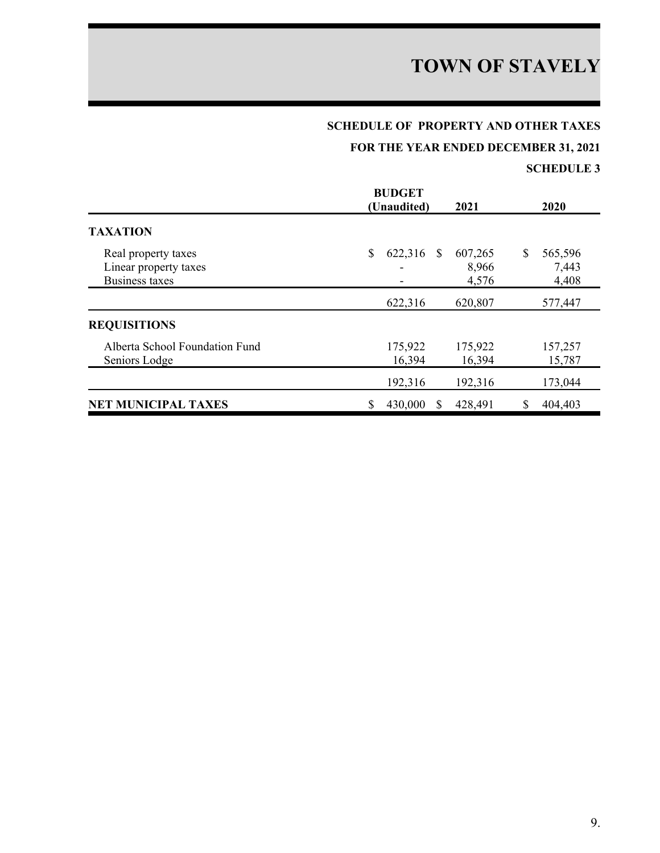## **SCHEDULE OF PROPERTY AND OTHER TAXES**

**FOR THE YEAR ENDED DECEMBER 31, 2021**

|                                                                       | <b>BUDGET</b><br>(Unaudited) | 2021                                      | 2020                            |
|-----------------------------------------------------------------------|------------------------------|-------------------------------------------|---------------------------------|
| <b>TAXATION</b>                                                       |                              |                                           |                                 |
| Real property taxes<br>Linear property taxes<br><b>Business taxes</b> | \$<br>622,316                | 607,265<br><sup>S</sup><br>8,966<br>4,576 | \$<br>565,596<br>7,443<br>4,408 |
|                                                                       | 622,316                      | 620,807                                   | 577,447                         |
| <b>REQUISITIONS</b>                                                   |                              |                                           |                                 |
| Alberta School Foundation Fund<br>Seniors Lodge                       | 175,922<br>16,394            | 175,922<br>16,394                         | 157,257<br>15,787               |
|                                                                       | 192,316                      | 192,316                                   | 173,044                         |
| <b>NET MUNICIPAL TAXES</b>                                            | \$<br>430,000                | 428,491<br>S                              | S<br>404,403                    |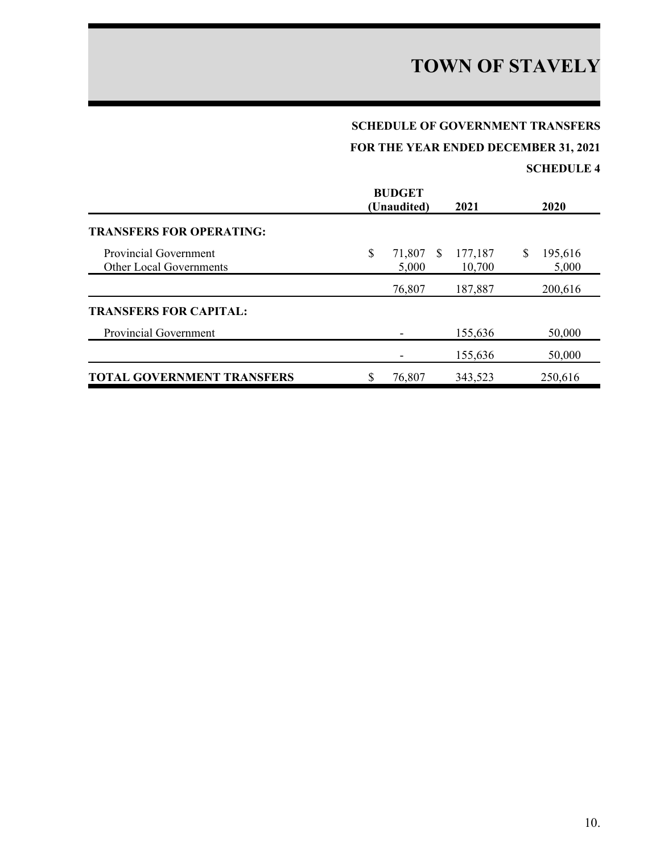## **SCHEDULE OF GOVERNMENT TRANSFERS**

**FOR THE YEAR ENDED DECEMBER 31, 2021**

|                                                                | <b>BUDGET</b><br>(Unaudited)      | 2021              | 2020                   |
|----------------------------------------------------------------|-----------------------------------|-------------------|------------------------|
| <b>TRANSFERS FOR OPERATING:</b>                                |                                   |                   |                        |
| <b>Provincial Government</b><br><b>Other Local Governments</b> | \$<br>71,807<br><b>S</b><br>5,000 | 177,187<br>10,700 | \$<br>195,616<br>5,000 |
|                                                                | 76,807                            | 187,887           | 200,616                |
| <b>TRANSFERS FOR CAPITAL:</b>                                  |                                   |                   |                        |
| Provincial Government                                          |                                   | 155,636           | 50,000                 |
|                                                                |                                   | 155,636           | 50,000                 |
| <b>TOTAL GOVERNMENT TRANSFERS</b>                              | \$<br>76,807                      | 343,523           | 250,616                |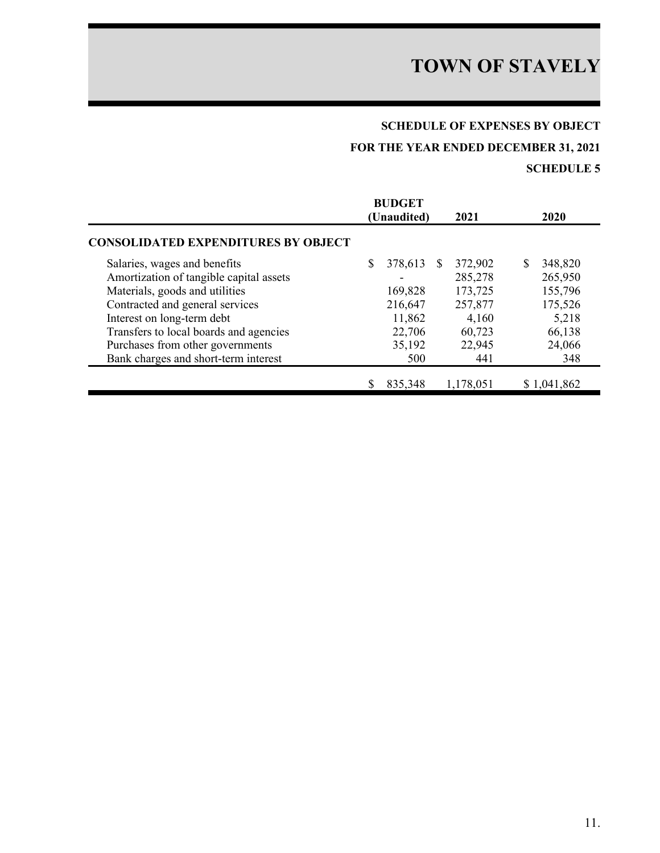## **SCHEDULE OF EXPENSES BY OBJECT**

## **FOR THE YEAR ENDED DECEMBER 31, 2021**

|                                            |   | <b>BUDGET</b><br>(Unaudited) |               | 2021      | 2020          |
|--------------------------------------------|---|------------------------------|---------------|-----------|---------------|
| <b>CONSOLIDATED EXPENDITURES BY OBJECT</b> |   |                              |               |           |               |
| Salaries, wages and benefits               | S | 378,613                      | <sup>\$</sup> | 372,902   | \$<br>348,820 |
| Amortization of tangible capital assets    |   |                              |               | 285,278   | 265,950       |
| Materials, goods and utilities             |   | 169,828                      |               | 173,725   | 155,796       |
| Contracted and general services            |   | 216,647                      |               | 257,877   | 175,526       |
| Interest on long-term debt                 |   | 11,862                       |               | 4,160     | 5,218         |
| Transfers to local boards and agencies     |   | 22,706                       |               | 60,723    | 66,138        |
| Purchases from other governments           |   | 35,192                       |               | 22,945    | 24,066        |
| Bank charges and short-term interest       |   | 500                          |               | 441       | 348           |
|                                            |   | 835,348                      |               | 1,178,051 | \$1,041,862   |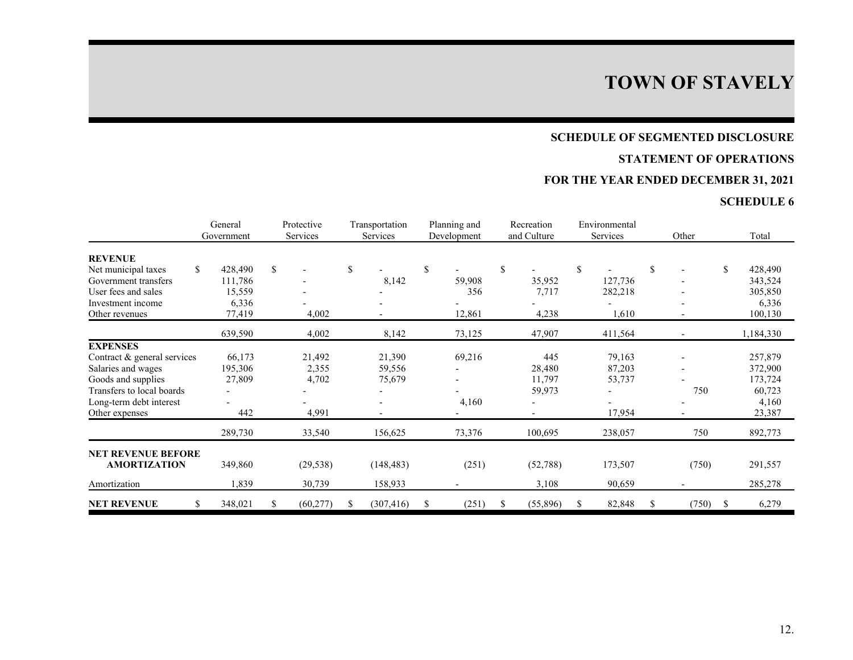### **SCHEDULE OF SEGMENTED DISCLOSURE**

## **STATEMENT OF OPERATIONS**

## **FOR THE YEAR ENDED DECEMBER 31, 2021**

|                             |     | General<br>Government | Protective<br>Services | Transportation<br>Services | Planning and<br>Development | Recreation<br>and Culture |                          | Environmental<br>Services | Other                    |    | Total     |
|-----------------------------|-----|-----------------------|------------------------|----------------------------|-----------------------------|---------------------------|--------------------------|---------------------------|--------------------------|----|-----------|
| <b>REVENUE</b>              |     |                       |                        |                            |                             |                           |                          |                           |                          |    |           |
| Net municipal taxes         | \$  | 428,490               | \$                     | \$                         | \$                          | \$                        |                          | \$                        | \$                       | \$ | 428,490   |
| Government transfers        |     | 111,786               |                        | 8,142                      | 59,908                      |                           | 35,952                   | 127,736                   |                          |    | 343,524   |
| User fees and sales         |     | 15,559                |                        |                            | 356                         |                           | 7,717                    | 282,218                   |                          |    | 305,850   |
| Investment income           |     | 6,336                 |                        |                            |                             |                           |                          |                           |                          |    | 6,336     |
| Other revenues              |     | 77,419                | 4,002                  | $\overline{\phantom{a}}$   | 12,861                      |                           | 4,238                    | 1,610                     | $\overline{\phantom{a}}$ |    | 100,130   |
|                             |     | 639,590               | 4,002                  | 8,142                      | 73,125                      |                           | 47,907                   | 411,564                   |                          |    | 1,184,330 |
| <b>EXPENSES</b>             |     |                       |                        |                            |                             |                           |                          |                           |                          |    |           |
| Contract & general services |     | 66,173                | 21,492                 | 21,390                     | 69,216                      |                           | 445                      | 79,163                    |                          |    | 257,879   |
| Salaries and wages          |     | 195,306               | 2,355                  | 59,556                     |                             |                           | 28,480                   | 87,203                    |                          |    | 372,900   |
| Goods and supplies          |     | 27,809                | 4,702                  | 75,679                     |                             |                           | 11,797                   | 53,737                    |                          |    | 173,724   |
| Transfers to local boards   |     |                       |                        |                            |                             |                           | 59,973                   |                           | 750                      |    | 60,723    |
| Long-term debt interest     |     |                       |                        |                            | 4,160                       |                           | $\overline{\phantom{a}}$ |                           |                          |    | 4,160     |
| Other expenses              |     | 442                   | 4,991                  |                            |                             |                           | $\overline{\phantom{a}}$ | 17,954                    |                          |    | 23,387    |
|                             |     | 289,730               | 33,540                 | 156,625                    | 73,376                      |                           | 100,695                  | 238,057                   | 750                      |    | 892,773   |
| <b>NET REVENUE BEFORE</b>   |     |                       |                        |                            |                             |                           |                          |                           |                          |    |           |
| <b>AMORTIZATION</b>         |     | 349,860               | (29, 538)              | (148, 483)                 | (251)                       |                           | (52, 788)                | 173,507                   | (750)                    |    | 291,557   |
| Amortization                |     | 1,839                 | 30,739                 | 158,933                    |                             |                           | 3,108                    | 90,659                    |                          |    | 285,278   |
| <b>NET REVENUE</b>          | \$. | 348,021               | (60, 277)              | (307, 416)                 | \$<br>(251)                 | \$                        | (55,896)                 | \$<br>82,848              | \$<br>(750)              | -S | 6,279     |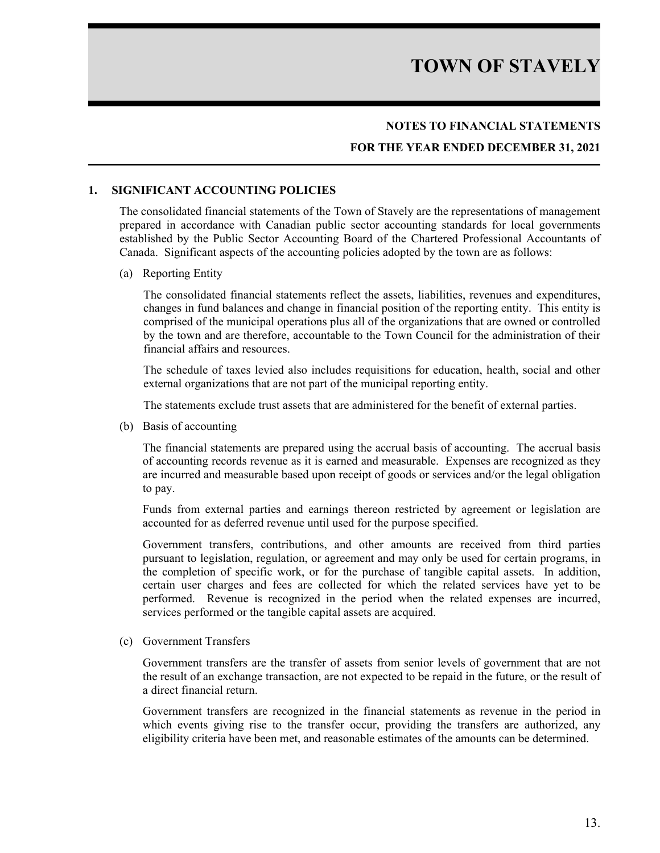### **NOTES TO FINANCIAL STATEMENTS**

### **FOR THE YEAR ENDED DECEMBER 31, 2021**

#### **1. SIGNIFICANT ACCOUNTING POLICIES**

The consolidated financial statements of the Town of Stavely are the representations of management prepared in accordance with Canadian public sector accounting standards for local governments established by the Public Sector Accounting Board of the Chartered Professional Accountants of Canada. Significant aspects of the accounting policies adopted by the town are as follows:

#### (a) Reporting Entity

The consolidated financial statements reflect the assets, liabilities, revenues and expenditures, changes in fund balances and change in financial position of the reporting entity. This entity is comprised of the municipal operations plus all of the organizations that are owned or controlled by the town and are therefore, accountable to the Town Council for the administration of their financial affairs and resources.

The schedule of taxes levied also includes requisitions for education, health, social and other external organizations that are not part of the municipal reporting entity.

The statements exclude trust assets that are administered for the benefit of external parties.

(b) Basis of accounting

The financial statements are prepared using the accrual basis of accounting. The accrual basis of accounting records revenue as it is earned and measurable. Expenses are recognized as they are incurred and measurable based upon receipt of goods or services and/or the legal obligation to pay.

Funds from external parties and earnings thereon restricted by agreement or legislation are accounted for as deferred revenue until used for the purpose specified.

Government transfers, contributions, and other amounts are received from third parties pursuant to legislation, regulation, or agreement and may only be used for certain programs, in the completion of specific work, or for the purchase of tangible capital assets. In addition, certain user charges and fees are collected for which the related services have yet to be performed. Revenue is recognized in the period when the related expenses are incurred, services performed or the tangible capital assets are acquired.

(c) Government Transfers

Government transfers are the transfer of assets from senior levels of government that are not the result of an exchange transaction, are not expected to be repaid in the future, or the result of a direct financial return.

Government transfers are recognized in the financial statements as revenue in the period in which events giving rise to the transfer occur, providing the transfers are authorized, any eligibility criteria have been met, and reasonable estimates of the amounts can be determined.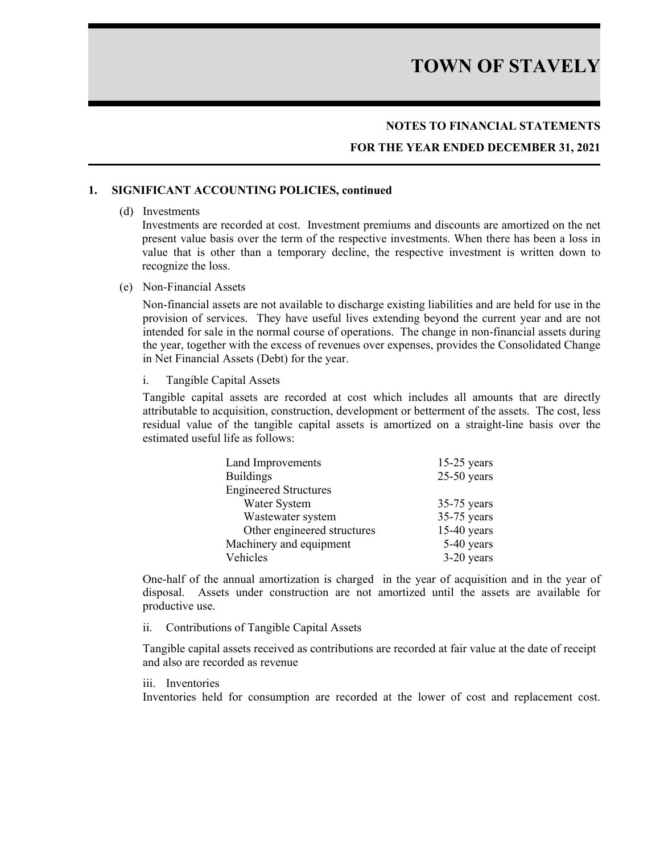### **NOTES TO FINANCIAL STATEMENTS**

### **FOR THE YEAR ENDED DECEMBER 31, 2021**

#### **1. SIGNIFICANT ACCOUNTING POLICIES, continued**

#### (d) Investments

Investments are recorded at cost. Investment premiums and discounts are amortized on the net present value basis over the term of the respective investments. When there has been a loss in value that is other than a temporary decline, the respective investment is written down to recognize the loss.

(e) Non-Financial Assets

Non-financial assets are not available to discharge existing liabilities and are held for use in the provision of services. They have useful lives extending beyond the current year and are not intended for sale in the normal course of operations. The change in non-financial assets during the year, together with the excess of revenues over expenses, provides the Consolidated Change in Net Financial Assets (Debt) for the year.

i. Tangible Capital Assets

Tangible capital assets are recorded at cost which includes all amounts that are directly attributable to acquisition, construction, development or betterment of the assets. The cost, less residual value of the tangible capital assets is amortized on a straight-line basis over the estimated useful life as follows:

| Land Improvements            | $15-25$ years |
|------------------------------|---------------|
| <b>Buildings</b>             | $25-50$ years |
| <b>Engineered Structures</b> |               |
| Water System                 | $35-75$ years |
| Wastewater system            | $35-75$ years |
| Other engineered structures  | $15-40$ years |
| Machinery and equipment      | 5-40 years    |
| Vehicles                     | 3-20 years    |

One-half of the annual amortization is charged in the year of acquisition and in the year of disposal. Assets under construction are not amortized until the assets are available for productive use.

ii. Contributions of Tangible Capital Assets

Tangible capital assets received as contributions are recorded at fair value at the date of receipt and also are recorded as revenue

#### iii. Inventories

Inventories held for consumption are recorded at the lower of cost and replacement cost.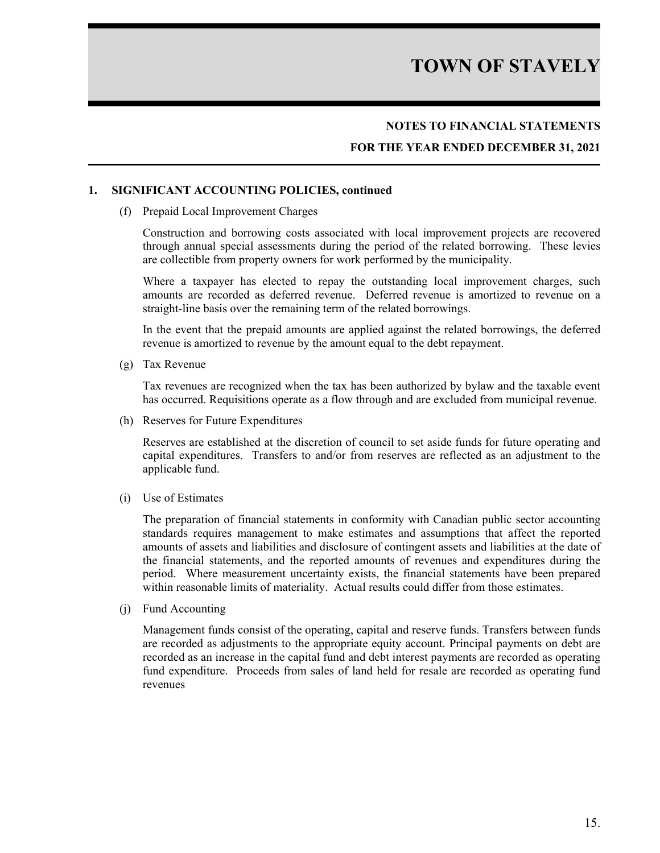## **NOTES TO FINANCIAL STATEMENTS**

### **FOR THE YEAR ENDED DECEMBER 31, 2021**

#### **1. SIGNIFICANT ACCOUNTING POLICIES, continued**

(f) Prepaid Local Improvement Charges

Construction and borrowing costs associated with local improvement projects are recovered through annual special assessments during the period of the related borrowing. These levies are collectible from property owners for work performed by the municipality.

Where a taxpayer has elected to repay the outstanding local improvement charges, such amounts are recorded as deferred revenue. Deferred revenue is amortized to revenue on a straight-line basis over the remaining term of the related borrowings.

In the event that the prepaid amounts are applied against the related borrowings, the deferred revenue is amortized to revenue by the amount equal to the debt repayment.

(g) Tax Revenue

Tax revenues are recognized when the tax has been authorized by bylaw and the taxable event has occurred. Requisitions operate as a flow through and are excluded from municipal revenue.

(h) Reserves for Future Expenditures

Reserves are established at the discretion of council to set aside funds for future operating and capital expenditures. Transfers to and/or from reserves are reflected as an adjustment to the applicable fund.

(i) Use of Estimates

The preparation of financial statements in conformity with Canadian public sector accounting standards requires management to make estimates and assumptions that affect the reported amounts of assets and liabilities and disclosure of contingent assets and liabilities at the date of the financial statements, and the reported amounts of revenues and expenditures during the period. Where measurement uncertainty exists, the financial statements have been prepared within reasonable limits of materiality. Actual results could differ from those estimates.

(j) Fund Accounting

Management funds consist of the operating, capital and reserve funds. Transfers between funds are recorded as adjustments to the appropriate equity account. Principal payments on debt are recorded as an increase in the capital fund and debt interest payments are recorded as operating fund expenditure. Proceeds from sales of land held for resale are recorded as operating fund revenues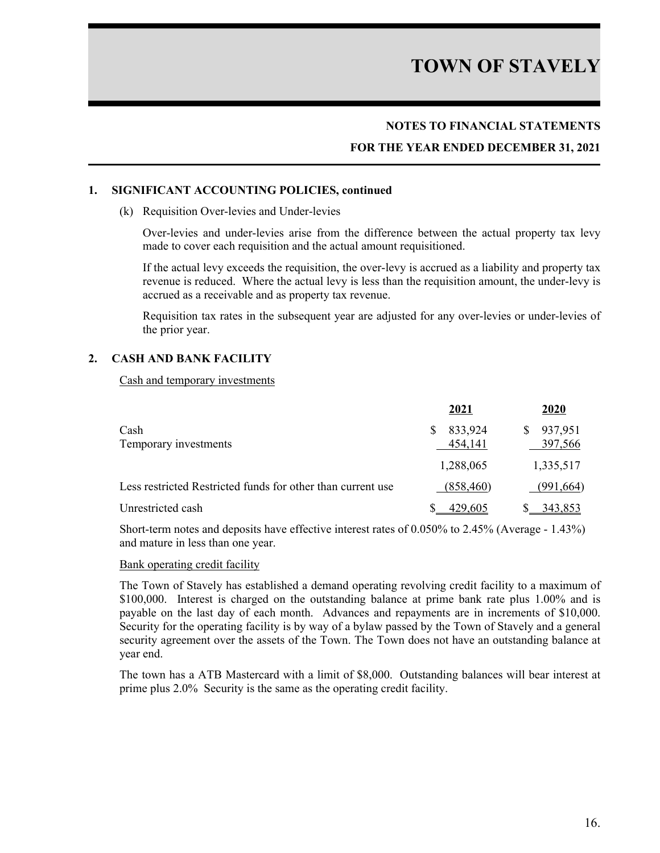### **NOTES TO FINANCIAL STATEMENTS**

### **FOR THE YEAR ENDED DECEMBER 31, 2021**

#### **1. SIGNIFICANT ACCOUNTING POLICIES, continued**

#### (k) Requisition Over-levies and Under-levies

Over-levies and under-levies arise from the difference between the actual property tax levy made to cover each requisition and the actual amount requisitioned.

If the actual levy exceeds the requisition, the over-levy is accrued as a liability and property tax revenue is reduced. Where the actual levy is less than the requisition amount, the under-levy is accrued as a receivable and as property tax revenue.

Requisition tax rates in the subsequent year are adjusted for any over-levies or under-levies of the prior year.

#### **2. CASH AND BANK FACILITY**

Cash and temporary investments

|                                                             | 2021               | 2020                     |
|-------------------------------------------------------------|--------------------|--------------------------|
| Cash<br>Temporary investments                               | 833,924<br>454,141 | 937,951<br>S.<br>397,566 |
|                                                             | 1,288,065          | 1,335,517                |
| Less restricted Restricted funds for other than current use | (858, 460)         | (991,664)                |
| Unrestricted cash                                           | 429,605            | 343,853                  |

Short-term notes and deposits have effective interest rates of 0.050% to 2.45% (Average - 1.43%) and mature in less than one year.

#### Bank operating credit facility

The Town of Stavely has established a demand operating revolving credit facility to a maximum of \$100,000. Interest is charged on the outstanding balance at prime bank rate plus 1.00% and is payable on the last day of each month. Advances and repayments are in increments of \$10,000. Security for the operating facility is by way of a bylaw passed by the Town of Stavely and a general security agreement over the assets of the Town. The Town does not have an outstanding balance at year end.

The town has a ATB Mastercard with a limit of \$8,000. Outstanding balances will bear interest at prime plus 2.0% Security is the same as the operating credit facility.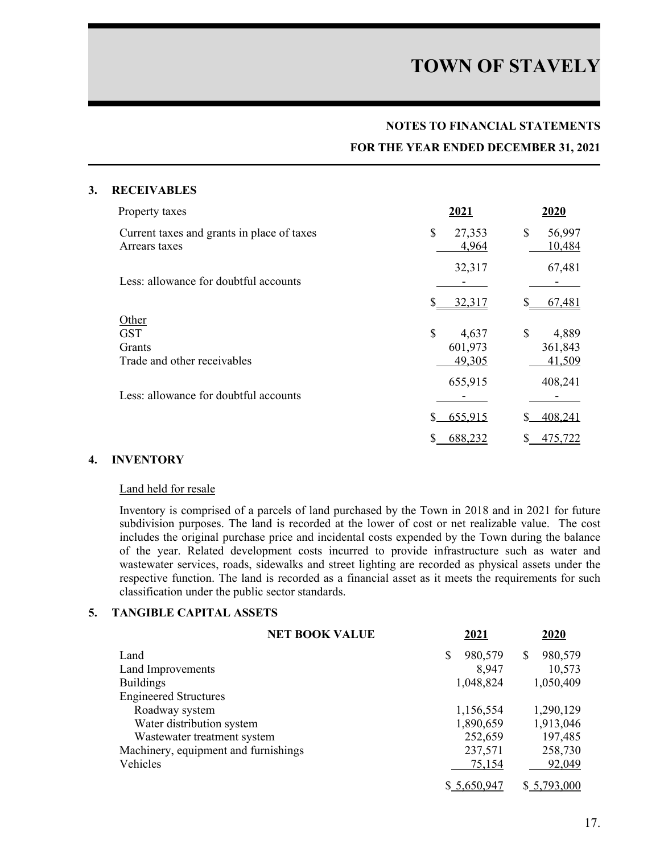#### **NOTES TO FINANCIAL STATEMENTS**

#### **FOR THE YEAR ENDED DECEMBER 31, 2021**

#### **3. RECEIVABLES**

| Property taxes                                              | 2021                  | 2020                   |
|-------------------------------------------------------------|-----------------------|------------------------|
| Current taxes and grants in place of taxes<br>Arrears taxes | \$<br>27,353<br>4,964 | \$<br>56,997<br>10,484 |
| Less: allowance for doubtful accounts                       | 32,317                | 67,481                 |
|                                                             | S<br>32,317           | 67,481                 |
| Other                                                       |                       |                        |
| <b>GST</b>                                                  | \$<br>4,637           | \$<br>4,889            |
| Grants                                                      | 601,973               | 361,843                |
| Trade and other receivables                                 | 49,305                | 41,509                 |
|                                                             | 655,915               | 408,241                |
| Less: allowance for doubtful accounts                       |                       |                        |
|                                                             | 655.915               | 408.241                |
|                                                             | 688,232               | 475.722                |

### **4. INVENTORY**

#### Land held for resale

Inventory is comprised of a parcels of land purchased by the Town in 2018 and in 2021 for future subdivision purposes. The land is recorded at the lower of cost or net realizable value. The cost includes the original purchase price and incidental costs expended by the Town during the balance of the year. Related development costs incurred to provide infrastructure such as water and wastewater services, roads, sidewalks and street lighting are recorded as physical assets under the respective function. The land is recorded as a financial asset as it meets the requirements for such classification under the public sector standards.

#### **5. TANGIBLE CAPITAL ASSETS**

| <b>NET BOOK VALUE</b>                | 2021          | 2020         |
|--------------------------------------|---------------|--------------|
| Land                                 | \$<br>980,579 | 980,579<br>S |
| Land Improvements                    | 8,947         | 10,573       |
| <b>Buildings</b>                     | 1,048,824     | 1,050,409    |
| <b>Engineered Structures</b>         |               |              |
| Roadway system                       | 1,156,554     | 1,290,129    |
| Water distribution system            | 1,890,659     | 1,913,046    |
| Wastewater treatment system          | 252,659       | 197,485      |
| Machinery, equipment and furnishings | 237,571       | 258,730      |
| Vehicles                             | 75,154        | 92,049       |
|                                      | \$5,650,947   | \$5,793,000  |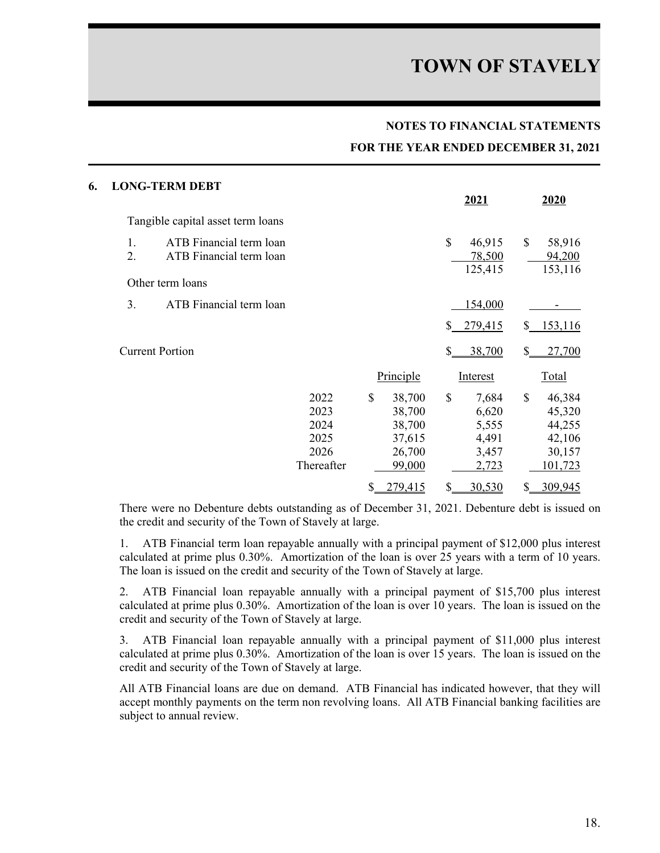#### **NOTES TO FINANCIAL STATEMENTS**

#### **FOR THE YEAR ENDED DECEMBER 31, 2021**

| 6. |          | <b>LONG-TERM DEBT</b>                              |                                                    |                                                                | 2021                                                     |               | 2020                                                      |
|----|----------|----------------------------------------------------|----------------------------------------------------|----------------------------------------------------------------|----------------------------------------------------------|---------------|-----------------------------------------------------------|
|    |          |                                                    |                                                    |                                                                |                                                          |               |                                                           |
|    |          | Tangible capital asset term loans                  |                                                    |                                                                |                                                          |               |                                                           |
|    | 1.<br>2. | ATB Financial term loan<br>ATB Financial term loan |                                                    |                                                                | \$<br>46,915<br>78,500<br>125,415                        | $\mathcal{S}$ | 58,916<br>94,200<br>153,116                               |
|    |          | Other term loans                                   |                                                    |                                                                |                                                          |               |                                                           |
|    | 3.       | ATB Financial term loan                            |                                                    |                                                                | 154,000                                                  |               |                                                           |
|    |          |                                                    |                                                    |                                                                | \$279,415                                                | \$            | 153,116                                                   |
|    |          | <b>Current Portion</b>                             |                                                    |                                                                | \$<br>38,700                                             | \$            | 27,700                                                    |
|    |          |                                                    |                                                    | Principle                                                      | Interest                                                 |               | Total                                                     |
|    |          |                                                    | 2022<br>2023<br>2024<br>2025<br>2026<br>Thereafter | \$<br>38,700<br>38,700<br>38,700<br>37,615<br>26,700<br>99,000 | \$<br>7,684<br>6,620<br>5,555<br>4,491<br>3,457<br>2,723 | $\mathbb{S}$  | 46,384<br>45,320<br>44,255<br>42,106<br>30,157<br>101,723 |
|    |          |                                                    |                                                    | \$<br>279,415                                                  | \$<br>30,530                                             | S             | 309,945                                                   |

There were no Debenture debts outstanding as of December 31, 2021. Debenture debt is issued on the credit and security of the Town of Stavely at large.

1. ATB Financial term loan repayable annually with a principal payment of \$12,000 plus interest calculated at prime plus 0.30%. Amortization of the loan is over 25 years with a term of 10 years. The loan is issued on the credit and security of the Town of Stavely at large.

2. ATB Financial loan repayable annually with a principal payment of \$15,700 plus interest calculated at prime plus 0.30%. Amortization of the loan is over 10 years. The loan is issued on the credit and security of the Town of Stavely at large.

3. ATB Financial loan repayable annually with a principal payment of \$11,000 plus interest calculated at prime plus 0.30%. Amortization of the loan is over 15 years. The loan is issued on the credit and security of the Town of Stavely at large.

All ATB Financial loans are due on demand. ATB Financial has indicated however, that they will accept monthly payments on the term non revolving loans. All ATB Financial banking facilities are subject to annual review.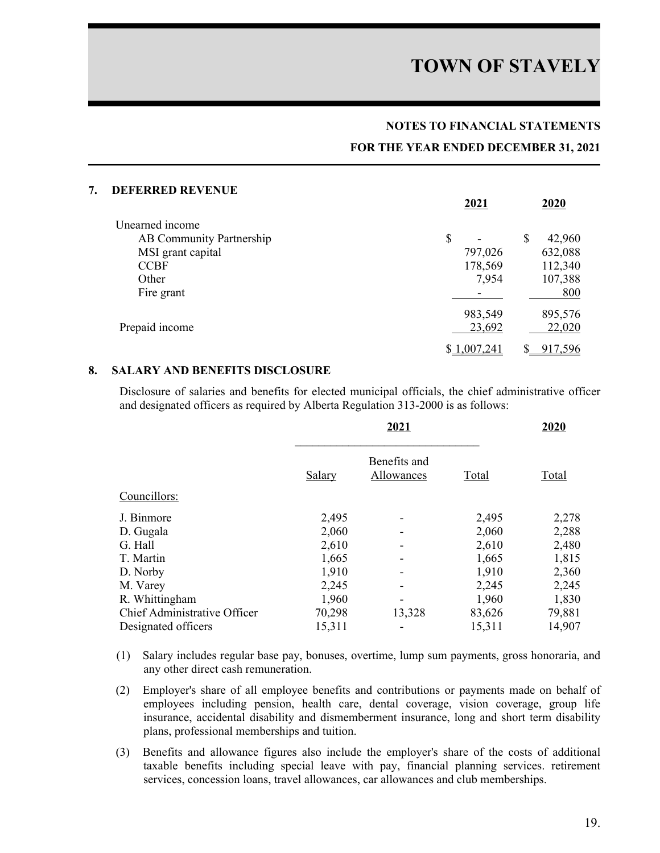#### **NOTES TO FINANCIAL STATEMENTS**

#### **FOR THE YEAR ENDED DECEMBER 31, 2021**

| 7. | <b>DEFERRED REVENUE</b>  |             |   |         |
|----|--------------------------|-------------|---|---------|
|    |                          | 2021        |   | 2020    |
|    | Unearned income          |             |   |         |
|    | AB Community Partnership | \$          | S | 42,960  |
|    | MSI grant capital        | 797,026     |   | 632,088 |
|    | <b>CCBF</b>              | 178,569     |   | 112,340 |
|    | Other                    | 7,954       |   | 107,388 |
|    | Fire grant               |             |   | 800     |
|    |                          | 983,549     |   | 895,576 |
|    | Prepaid income           | 23,692      |   | 22,020  |
|    |                          | \$1,007,241 |   | 917,596 |

#### **8. SALARY AND BENEFITS DISCLOSURE**

Disclosure of salaries and benefits for elected municipal officials, the chief administrative officer and designated officers as required by Alberta Regulation 313-2000 is as follows:

|                              | 2021   |                            |        | 2020   |  |
|------------------------------|--------|----------------------------|--------|--------|--|
|                              | Salary | Benefits and<br>Allowances | Total  | Total  |  |
| Councillors:                 |        |                            |        |        |  |
| J. Binmore                   | 2,495  |                            | 2,495  | 2,278  |  |
| D. Gugala                    | 2,060  |                            | 2,060  | 2,288  |  |
| G. Hall                      | 2,610  |                            | 2,610  | 2,480  |  |
| T. Martin                    | 1,665  |                            | 1,665  | 1,815  |  |
| D. Norby                     | 1,910  |                            | 1,910  | 2,360  |  |
| M. Varey                     | 2,245  |                            | 2,245  | 2,245  |  |
| R. Whittingham               | 1,960  |                            | 1,960  | 1,830  |  |
| Chief Administrative Officer | 70,298 | 13,328                     | 83,626 | 79,881 |  |
| Designated officers          | 15,311 |                            | 15,311 | 14,907 |  |

- (1) Salary includes regular base pay, bonuses, overtime, lump sum payments, gross honoraria, and any other direct cash remuneration.
- (2) Employer's share of all employee benefits and contributions or payments made on behalf of employees including pension, health care, dental coverage, vision coverage, group life insurance, accidental disability and dismemberment insurance, long and short term disability plans, professional memberships and tuition.
- (3) Benefits and allowance figures also include the employer's share of the costs of additional taxable benefits including special leave with pay, financial planning services. retirement services, concession loans, travel allowances, car allowances and club memberships.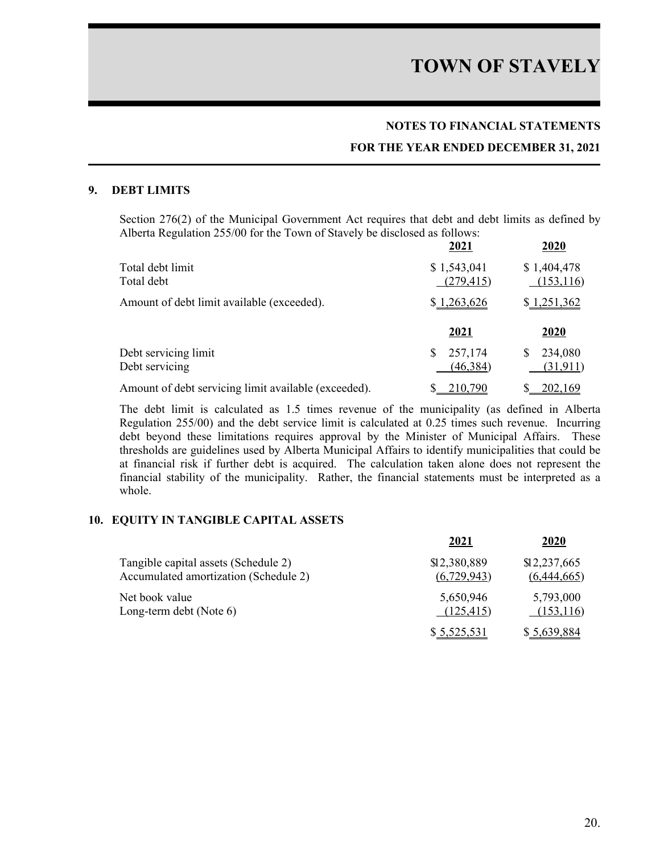### **NOTES TO FINANCIAL STATEMENTS**

#### **FOR THE YEAR ENDED DECEMBER 31, 2021**

#### **9. DEBT LIMITS**

Section 276(2) of the Municipal Government Act requires that debt and debt limits as defined by Alberta Regulation 255/00 for the Town of Stavely be disclosed as follows:

|                                                      | 2021                       | 2020                      |
|------------------------------------------------------|----------------------------|---------------------------|
| Total debt limit<br>Total debt                       | \$1,543,041<br>(279, 415)  | \$1,404,478<br>(153, 116) |
| Amount of debt limit available (exceeded).           | \$1,263,626                | \$1,251,362               |
|                                                      | 2021                       | 2020                      |
| Debt servicing limit<br>Debt servicing               | 257,174<br>S.<br>(46, 384) | 234,080<br>(31, 911)      |
| Amount of debt servicing limit available (exceeded). | 210,790                    | 202,169                   |

The debt limit is calculated as 1.5 times revenue of the municipality (as defined in Alberta Regulation 255/00) and the debt service limit is calculated at 0.25 times such revenue. Incurring debt beyond these limitations requires approval by the Minister of Municipal Affairs. These thresholds are guidelines used by Alberta Municipal Affairs to identify municipalities that could be at financial risk if further debt is acquired. The calculation taken alone does not represent the financial stability of the municipality. Rather, the financial statements must be interpreted as a whole.

#### **10. EQUITY IN TANGIBLE CAPITAL ASSETS**

|                                       | 2021         | 2020         |
|---------------------------------------|--------------|--------------|
| Tangible capital assets (Schedule 2)  | \$12,380,889 | \$12,237,665 |
| Accumulated amortization (Schedule 2) | (6,729,943)  | (6,444,665)  |
| Net book value                        | 5,650,946    | 5,793,000    |
| Long-term debt (Note 6)               | (125, 415)   | (153,116)    |
|                                       | \$5,525,531  | \$5,639,884  |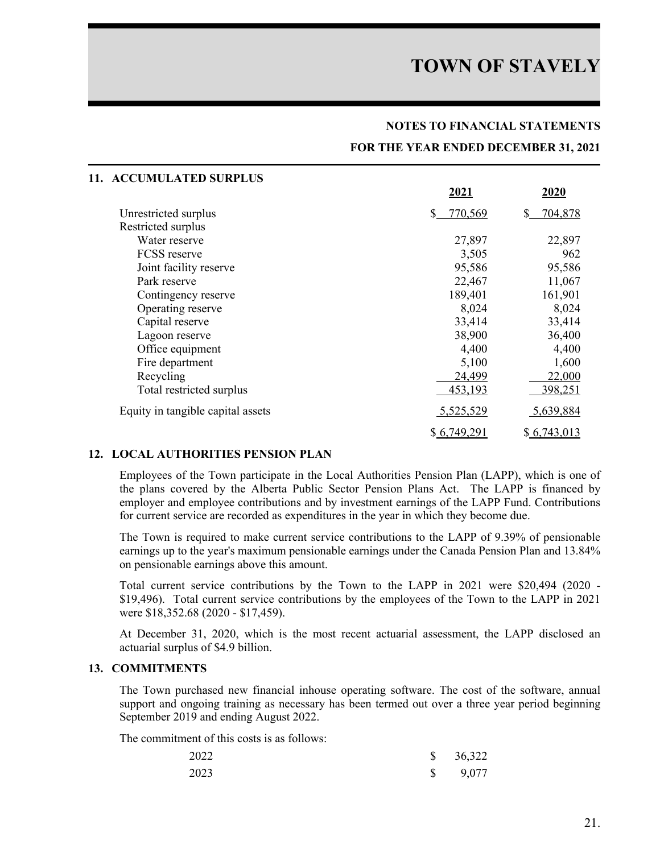#### **NOTES TO FINANCIAL STATEMENTS**

#### **FOR THE YEAR ENDED DECEMBER 31, 2021**

| <b>ACCUMULATED SURPLUS</b><br>11. |               |               |
|-----------------------------------|---------------|---------------|
|                                   | 2021          | 2020          |
| Unrestricted surplus              | \$<br>770,569 | S.<br>704,878 |
| Restricted surplus                |               |               |
| Water reserve                     | 27,897        | 22,897        |
| <b>FCSS</b> reserve               | 3,505         | 962           |
| Joint facility reserve            | 95,586        | 95,586        |
| Park reserve                      | 22,467        | 11,067        |
| Contingency reserve               | 189,401       | 161,901       |
| Operating reserve                 | 8,024         | 8,024         |
| Capital reserve                   | 33,414        | 33,414        |
| Lagoon reserve                    | 38,900        | 36,400        |
| Office equipment                  | 4,400         | 4,400         |
| Fire department                   | 5,100         | 1,600         |
| Recycling                         | 24,499        | 22,000        |
| Total restricted surplus          | 453,193       | 398,251       |
| Equity in tangible capital assets | 5,525,529     | 5,639,884     |
|                                   | \$6,749,291   | \$6,743,013   |

### **12. LOCAL AUTHORITIES PENSION PLAN**

Employees of the Town participate in the Local Authorities Pension Plan (LAPP), which is one of the plans covered by the Alberta Public Sector Pension Plans Act. The LAPP is financed by employer and employee contributions and by investment earnings of the LAPP Fund. Contributions for current service are recorded as expenditures in the year in which they become due.

The Town is required to make current service contributions to the LAPP of 9.39% of pensionable earnings up to the year's maximum pensionable earnings under the Canada Pension Plan and 13.84% on pensionable earnings above this amount.

Total current service contributions by the Town to the LAPP in 2021 were \$20,494 (2020 - \$19,496). Total current service contributions by the employees of the Town to the LAPP in 2021 were \$18,352.68 (2020 - \$17,459).

At December 31, 2020, which is the most recent actuarial assessment, the LAPP disclosed an actuarial surplus of \$4.9 billion.

#### **13. COMMITMENTS**

The Town purchased new financial inhouse operating software. The cost of the software, annual support and ongoing training as necessary has been termed out over a three year period beginning September 2019 and ending August 2022.

The commitment of this costs is as follows:

| 2022 | $\frac{\$}{36,322}$ |
|------|---------------------|
| 2023 | $\$\,$ 9,077        |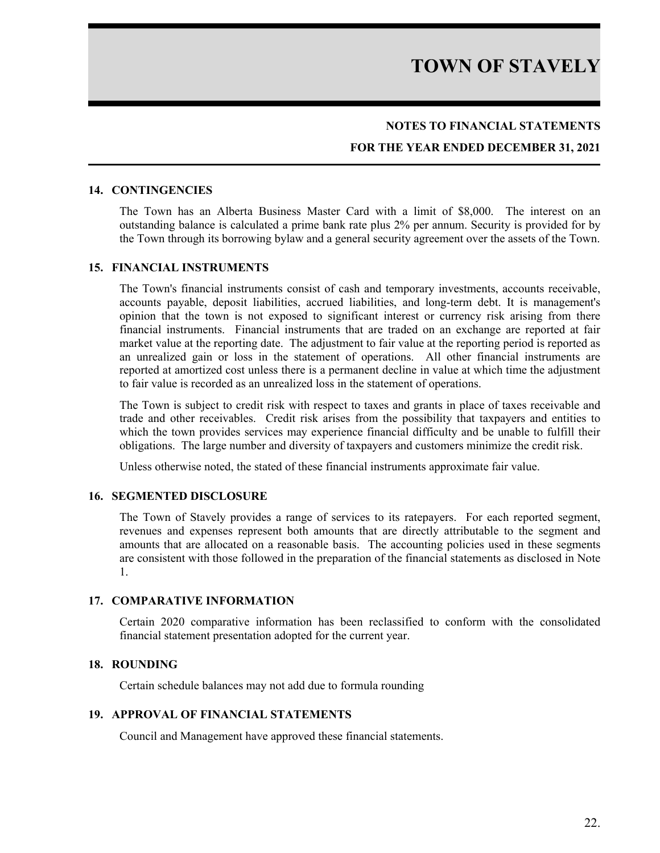### **NOTES TO FINANCIAL STATEMENTS**

### **FOR THE YEAR ENDED DECEMBER 31, 2021**

#### **14. CONTINGENCIES**

The Town has an Alberta Business Master Card with a limit of \$8,000. The interest on an outstanding balance is calculated a prime bank rate plus 2% per annum. Security is provided for by the Town through its borrowing bylaw and a general security agreement over the assets of the Town.

#### **15. FINANCIAL INSTRUMENTS**

The Town's financial instruments consist of cash and temporary investments, accounts receivable, accounts payable, deposit liabilities, accrued liabilities, and long-term debt. It is management's opinion that the town is not exposed to significant interest or currency risk arising from there financial instruments. Financial instruments that are traded on an exchange are reported at fair market value at the reporting date. The adjustment to fair value at the reporting period is reported as an unrealized gain or loss in the statement of operations. All other financial instruments are reported at amortized cost unless there is a permanent decline in value at which time the adjustment to fair value is recorded as an unrealized loss in the statement of operations.

The Town is subject to credit risk with respect to taxes and grants in place of taxes receivable and trade and other receivables. Credit risk arises from the possibility that taxpayers and entities to which the town provides services may experience financial difficulty and be unable to fulfill their obligations. The large number and diversity of taxpayers and customers minimize the credit risk.

Unless otherwise noted, the stated of these financial instruments approximate fair value.

#### **16. SEGMENTED DISCLOSURE**

The Town of Stavely provides a range of services to its ratepayers. For each reported segment, revenues and expenses represent both amounts that are directly attributable to the segment and amounts that are allocated on a reasonable basis. The accounting policies used in these segments are consistent with those followed in the preparation of the financial statements as disclosed in Note 1.

#### **17. COMPARATIVE INFORMATION**

Certain 2020 comparative information has been reclassified to conform with the consolidated financial statement presentation adopted for the current year.

#### **18. ROUNDING**

Certain schedule balances may not add due to formula rounding

#### **19. APPROVAL OF FINANCIAL STATEMENTS**

Council and Management have approved these financial statements.